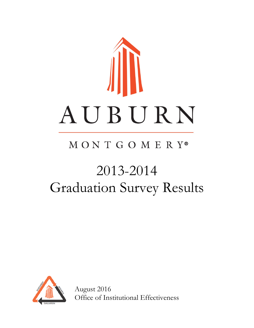

# MONTGOMERY®

# 2013-2014 Graduation Survey Results



August 2016 Office of Institutional Effectiveness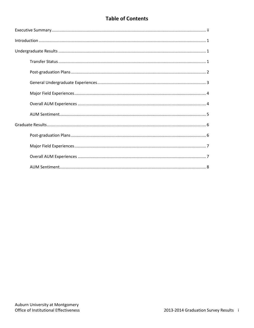# **Table of Contents**

| $\label{lem:1} \mbox{Introduction} \,\, \ldots \,\, \ldots \,\, \ldots \,\, \ldots \,\, \ldots \,\, \ldots \,\, \ldots \,\, \ldots \,\, \ldots \,\, \ldots \,\, \ldots \,\, \ldots \,\, \ldots \,\, \ldots \,\, \ldots \,\, \ldots \,\, \ldots \,\, \ldots \,\, \ldots \,\, \ldots \,\, \ldots \,\, \ldots \,\, \ldots \,\, \ldots \,\, \ldots \,\, \ldots \,\, \ldots \,\, \ldots \,\, \ldots \,\, \ldots \,\, \ldots \,\, \ldots \,\, \ldots \,\, \ldots \,\,$ |
|------------------------------------------------------------------------------------------------------------------------------------------------------------------------------------------------------------------------------------------------------------------------------------------------------------------------------------------------------------------------------------------------------------------------------------------------------------------|
|                                                                                                                                                                                                                                                                                                                                                                                                                                                                  |
|                                                                                                                                                                                                                                                                                                                                                                                                                                                                  |
|                                                                                                                                                                                                                                                                                                                                                                                                                                                                  |
|                                                                                                                                                                                                                                                                                                                                                                                                                                                                  |
|                                                                                                                                                                                                                                                                                                                                                                                                                                                                  |
|                                                                                                                                                                                                                                                                                                                                                                                                                                                                  |
|                                                                                                                                                                                                                                                                                                                                                                                                                                                                  |
|                                                                                                                                                                                                                                                                                                                                                                                                                                                                  |
|                                                                                                                                                                                                                                                                                                                                                                                                                                                                  |
|                                                                                                                                                                                                                                                                                                                                                                                                                                                                  |
|                                                                                                                                                                                                                                                                                                                                                                                                                                                                  |
|                                                                                                                                                                                                                                                                                                                                                                                                                                                                  |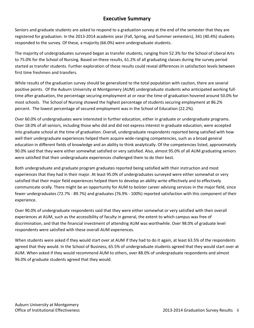### **Executive Summary**

Seniors and graduate students are asked to respond to a graduation survey at the end of the semester that they are registered for graduation. In the 2013-2014 academic year (Fall, Spring, and Summer semesters), 341 (40.4%) students responded to the survey. Of these, a majority (66.0%) were undergraduate students.

The majority of undergraduates surveyed began as transfer students, ranging from 52.3% for the School of Liberal Arts to 75.0% for the School of Nursing. Based on these results, 61.2% of all graduating classes during the survey period started as transfer students. Further exploration of these results could reveal differences in satisfaction levels between first time freshmen and transfers.

While results of the graduation survey should be generalized to the total population with caution, there are several positive points. Of the Auburn University at Montgomery (AUM) undergraduate students who anticipated working fulltime after graduation, the percentage securing employment at or near the time of graduation hovered around 50.0% for most schools. The School of Nursing showed the highest percentage of students securing employment at 86.2% percent. The lowest percentage of secured employment was in the School of Education (22.2%).

Over 60.0% of undergraduates were interested in further education, either in graduate or undergraduate programs. Over 18.0% of all seniors, including those who did and did not express interest in graduate education, were accepted into graduate school at the time of graduation. Overall, undergraduate respondents reported being satisfied with how well their undergraduate experiences helped them acquire wide-ranging competencies, such as a broad general education in different fields of knowledge and an ability to think analytically. Of the competencies listed, approximately 90.0% said that they were either somewhat satisfied or very satisfied. Also, almost 95.0% of all AUM graduating seniors were satisfied that their undergraduate experiences challenged them to do their best.

Both undergraduate and graduate program graduates reported being satisfied with their instruction and most experiences that they had in their major. At least 95.0% of undergraduates surveyed were either somewhat or very satisfied that their major field experiences helped them to develop an ability write effectively and to effectively communicate orally. There might be an opportunity for AUM to bolster career advising services in the major field, since fewer undergraduates (72.7% - 89.7%) and graduates (76.9% - 100%) reported satisfaction with this component of their experience.

Over 90.0% of undergraduate respondents said that they were either somewhat or very satisfied with their overall experiences at AUM, such as the accessibility of faculty in general, the extent to which campus was free of discrimination, and that the financial investment of attending AUM was worthwhile. Over 98.0% of graduate level respondents were satisfied with these overall AUM experiences.

When students were asked if they would start over at AUM if they had to do it again, at least 63.5% of the respondents agreed that they would. In the School of Business, 65.5% of undergraduate students agreed that they would start over at AUM. When asked if they would recommend AUM to others, over 88.0% of undergraduate respondents and almost 96.0% of graduate students agreed that they would.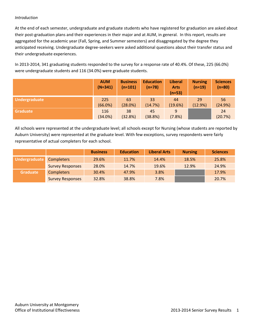#### *Introduction*

At the end of each semester, undergraduate and graduate students who have registered for graduation are asked about their post-graduation plans and their experiences in their major and at AUM, in general. In this report, results are aggregated for the academic year (Fall, Spring, and Summer semesters) and disaggregated by the degree they anticipated receiving. Undergraduate degree-seekers were asked additional questions about their transfer status and their undergraduate experiences.

In 2013-2014, 341 graduating students responded to the survey for a response rate of 40.4%. Of these, 225 (66.0%) were undergraduate students and 116 (34.0%) were graduate students.

|               | <b>AUM</b><br>$(N=341)$ | <b>Business</b><br>$(n=101)$ | <b>Education</b><br>$(n=78)$ | <b>Liberal</b><br><b>Arts</b><br>$(n=53)$ | <b>Nursing</b><br>$(n=19)$ | <b>Sciences</b><br>$(n=80)$ |
|---------------|-------------------------|------------------------------|------------------------------|-------------------------------------------|----------------------------|-----------------------------|
| Undergraduate | 225                     | 63                           | 33                           | 44                                        | 29                         | 56                          |
|               | (66.0%)                 | (28.0%)                      | (14.7%)                      | (19.6%)                                   | (12.9%)                    | (24.9%)                     |
| Graduate      | 116                     | 38                           | 45                           | 9                                         |                            | 24                          |
|               | (34.0%)                 | (32.8%)                      | (38.8%)                      | (7.8%)                                    |                            | (20.7%)                     |

All schools were represented at the undergraduate level; all schools except for Nursing (whose students are reported by Auburn University) were represented at the graduate level. With few exceptions, survey respondents were fairly representative of actual completers for each school.

|                 |                         | <b>Business</b> | <b>Education</b> | <b>Liberal Arts</b> | <b>Nursing</b> | <b>Sciences</b> |
|-----------------|-------------------------|-----------------|------------------|---------------------|----------------|-----------------|
| Undergraduate   | <b>Completers</b>       | 29.6%           | 11.7%            | 14.4%               | 18.5%          | 25.8%           |
|                 | <b>Survey Responses</b> | 28.0%           | 14.7%            | 19.6%               | 12.9%          | 24.9%           |
| <b>Graduate</b> | <b>Completers</b>       | 30.4%           | 47.9%            | 3.8%                |                | 17.9%           |
|                 | <b>Survey Responses</b> | 32.8%           | 38.8%            | 7.8%                |                | 20.7%           |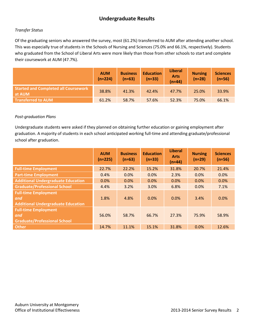# **Undergraduate Results**

#### *Transfer Status*

Of the graduating seniors who answered the survey, most (61.2%) transferred to AUM after attending another school. This was especially true of students in the Schools of Nursing and Sciences (75.0% and 66.1%, respectively). Students who graduated from the School of Liberal Arts were more likely than those from other schools to start and complete their coursework at AUM (47.7%).

|                                                       | <b>AUM</b><br>$(n=224)$ | <b>Business</b><br>$(n=63)$ | <b>Education</b><br>$(n=33)$ | <b>Liberal</b><br><b>Arts</b><br>$(n=44)$ | <b>Nursing</b><br>$(n=28)$ | <b>Sciences</b><br>$(n=56)$ |
|-------------------------------------------------------|-------------------------|-----------------------------|------------------------------|-------------------------------------------|----------------------------|-----------------------------|
| <b>Started and Completed all Coursework</b><br>at AUM | 38.8%                   | 41.3%                       | 42.4%                        | 47.7%                                     | 25.0%                      | 33.9%                       |
| <b>Transferred to AUM</b>                             | 61.2%                   | 58.7%                       | 57.6%                        | 52.3%                                     | 75.0%                      | 66.1%                       |

#### *Post-graduation Plans*

Undergraduate students were asked if they planned on obtaining further education or gaining employment after graduation. A majority of students in each school anticipated working full-time and attending graduate/professional school after graduation.

|                                                                                 | <b>AUM</b><br>$(n=225)$ | <b>Business</b><br>$(n=63)$ | <b>Education</b><br>$(n=33)$ | <b>Liberal</b><br><b>Arts</b><br>$(n=44)$ | <b>Nursing</b><br>$(n=29)$ | <b>Sciences</b><br>$(n=56)$ |
|---------------------------------------------------------------------------------|-------------------------|-----------------------------|------------------------------|-------------------------------------------|----------------------------|-----------------------------|
| <b>Full-time Employment</b>                                                     | 22.7%                   | 22.2%                       | 15.2%                        | 31.8%                                     | 20.7%                      | 21.4%                       |
| <b>Part-time Employment</b>                                                     | 0.4%                    | 0.0%                        | 0.0%                         | 2.3%                                      | 0.0%                       | 0.0%                        |
| <b>Additional Undergraduate Education</b>                                       | 0.0%                    | 0.0%                        | 0.0%                         | 0.0%                                      | 0.0%                       | 0.0%                        |
| <b>Graduate/Professional School</b>                                             | 4.4%                    | 3.2%                        | 3.0%                         | 6.8%                                      | 0.0%                       | 7.1%                        |
| <b>Full-time Employment</b><br>and<br><b>Additional Undergraduate Education</b> | 1.8%                    | 4.8%                        | 0.0%                         | 0.0%                                      | 3.4%                       | 0.0%                        |
| <b>Full-time Employment</b><br>and<br><b>Graduate/Professional School</b>       | 56.0%                   | 58.7%                       | 66.7%                        | 27.3%                                     | 75.9%                      | 58.9%                       |
| <b>Other</b>                                                                    | 14.7%                   | 11.1%                       | 15.1%                        | 31.8%                                     | 0.0%                       | 12.6%                       |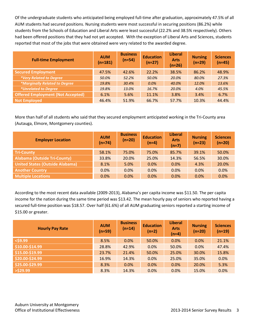Of the undergraduate students who anticipated being employed full-time after graduation, approximately 47.5% of all AUM students had secured positions. Nursing students were most successful in securing positions (86.2%) while students from the Schools of Education and Liberal Arts were least successful (22.2% and 38.5% respectively). Others had been offered positions that they had not yet accepted. With the exception of Liberal Arts and Sciences, students reported that most of the jobs that were obtained were very related to the awarded degree.

| <b>Full-time Employment</b>              | <b>AUM</b><br>$(n=181)$ | <b>Business</b><br>$(n=54)$ | <b>Education</b><br>$(n=27)$ | <b>Liberal</b><br><b>Arts</b><br>$(n=26)$ | <b>Nursing</b><br>$(n=29)$ | <b>Sciences</b><br>$(n=45)$ |
|------------------------------------------|-------------------------|-----------------------------|------------------------------|-------------------------------------------|----------------------------|-----------------------------|
| <b>Secured Employment</b>                | 47.5%                   | 42.6%                       | 22.2%                        | 38.5%                                     | 86.2%                      | 48.9%                       |
| *Very Related to Degree                  | 50.0%                   | 52.2%                       | 50.0%                        | 20.0%                                     | 80.0%                      | 27.3%                       |
| <i>*Marginally Related to Degree</i>     | 19.8%                   | 30.4%                       | 0.0%                         | 40.0%                                     | 12.0%                      | 13.6%                       |
| <i>*Unrelated to Degree</i>              | 19.8%                   | 13.0%                       | 16.7%                        | 20.0%                                     | 4.0%                       | 45.5%                       |
| <b>Offered Employment (Not Accepted)</b> | 6.1%                    | 5.6%                        | 11.1%                        | 3.8%                                      | 3.4%                       | 6.7%                        |
| <b>Not Employed</b>                      | 46.4%                   | 51.9%                       | 66.7%                        | 57.7%                                     | 10.3%                      | 44.4%                       |

More than half of all students who said that they secured employment anticipated working in the Tri-County area (Autauga, Elmore, Montgomery counties).

| <b>Employer Location</b>               | <b>AUM</b><br>$(n=74)$ | <b>Business</b><br>$(n=20)$ | <b>Education</b><br>$(n=4)$ | <b>Liberal</b><br><b>Arts</b><br>$(n=7)$ | <b>Nursing</b><br>$(n=23)$ | <b>Sciences</b><br>$(n=20)$ |
|----------------------------------------|------------------------|-----------------------------|-----------------------------|------------------------------------------|----------------------------|-----------------------------|
| <b>Tri-County</b>                      | 58.1%                  | 75.0%                       | 75.0%                       | 85.7%                                    | 39.1%                      | 50.0%                       |
| <b>Alabama (Outside Tri-County)</b>    | 33.8%                  | 20.0%                       | 25.0%                       | 14.3%                                    | 56.5%                      | 30.0%                       |
| <b>United States (Outside Alabama)</b> | 8.1%                   | 5.0%                        | 0.0%                        | 0.0%                                     | 4.3%                       | 20.0%                       |
| <b>Another Country</b>                 | 0.0%                   | 0.0%                        | 0.0%                        | 0.0%                                     | 0.0%                       | 0.0%                        |
| <b>Multiple Locations</b>              | 0.0%                   | 0.0%                        | 0.0%                        | 0.0%                                     | 0.0%                       | 0.0%                        |

According to the most recent data available (2009-2013), Alabama's per capita income was \$11.50. The per capita income for the nation during the same time period was \$13.42. The mean hourly pay of seniors who reported having a secured full-time position was \$18.57. Over half (61.6%) of all AUM graduating seniors reported a starting income of \$15.00 or greater.

| <b>Hourly Pay Rate</b> | <b>AUM</b><br>$(n=59)$ | <b>Business</b><br>$(n=14)$ | <b>Education</b><br>$(n=2)$ | <b>Liberal</b><br><b>Arts</b><br>$(n=4)$ | <b>Nursing</b><br>$(n=20)$ | <b>Sciences</b><br>$(n=19)$ |
|------------------------|------------------------|-----------------------------|-----------------------------|------------------------------------------|----------------------------|-----------------------------|
| $<$ \$9.99             | 8.5%                   | 0.0%                        | 50.0%                       | 0.0%                                     | 0.0%                       | 21.1%                       |
| \$10.00-\$14.99        | 28.8%                  | 42.9%                       | 0.0%                        | 50.0%                                    | 0.0%                       | 47.4%                       |
| \$15.00-\$19.99        | 23.7%                  | 21.4%                       | 50.0%                       | 25.0%                                    | 30.0%                      | 15.8%                       |
| \$20.00-\$24.99        | 16.9%                  | 14.3%                       | 0.0%                        | 25.0%                                    | 35.0%                      | 0.0%                        |
| \$25.00-\$29.99        | 8.3%                   | 0.0%                        | 0.0%                        | 0.0%                                     | 20.0%                      | 5.3%                        |
| $>$ \$29.99            | 8.3%                   | 14.3%                       | 0.0%                        | 0.0%                                     | 15.0%                      | 0.0%                        |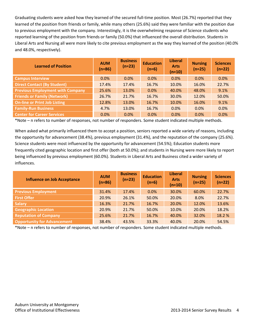Graduating students were asked how they learned of the secured full-time position. Most (26.7%) reported that they learned of the position from friends or family, while many others (25.6%) said they were familiar with the position due to previous employment with the company. Interestingly, it is the overwhelming response of Science students who reported learning of the position from friends or family (50.0%) that influenced the overall distribution. Students in Liberal Arts and Nursing all were more likely to cite previous employment as the way they learned of the position (40.0% and 48.0%, respectively).

| <b>Learned of Position</b>              | <b>AUM</b><br>$(n=86)$ | <b>Business</b><br>$(n=23)$ | <b>Education</b><br>$(n=6)$ | <b>Liberal</b><br><b>Arts</b><br>$(n=10)$ | <b>Nursing</b><br>$(n=25)$ | <b>Sciences</b><br>$(n=22)$ |
|-----------------------------------------|------------------------|-----------------------------|-----------------------------|-------------------------------------------|----------------------------|-----------------------------|
| <b>Campus Interview</b>                 | 0.0%                   | 0.0%                        | 0.0%                        | 0.0%                                      | 0.0%                       | 0.0%                        |
| <b>Direct Contact (By Student)</b>      | 17.4%                  | 17.4%                       | 16.7%                       | 10.0%                                     | 16.0%                      | 22.7%                       |
| <b>Previous Employment with Company</b> | 25.6%                  | 13.0%                       | 0.0%                        | 40.0%                                     | 48.0%                      | 9.1%                        |
| <b>Friends or Family (Network)</b>      | 26.7%                  | 21.7%                       | 16.7%                       | 30.0%                                     | 12.0%                      | 50.0%                       |
| <b>On-line or Print Job Listing</b>     | 12.8%                  | 13.0%                       | 16.7%                       | 10.0%                                     | 16.0%                      | 9.1%                        |
| <b>Family-Run Business</b>              | 4.7%                   | 13.0%                       | 16.7%                       | 0.0%                                      | 0.0%                       | 0.0%                        |
| <b>Center for Career Services</b>       | 0.0%                   | 0.0%                        | 0.0%                        | 0.0%                                      | 0.0%                       | 0.0%                        |

\*Note – n refers to number of responses, not number of responders. Some student indicated multiple methods.

When asked what primarily influenced them to accept a position, seniors reported a wide variety of reasons, including the opportunity for advancement (38.4%), previous employment (31.4%), and the reputation of the company (25.6%). Science students were most influenced by the opportunity for advancement (54.5%); Education students more frequently cited geographic location and first offer (both at 50.0%); and students in Nursing were more likely to report being influenced by previous employment (60.0%). Students in Liberal Arts and Business cited a wider variety of influences.

| <b>Influence on Job Acceptance</b> | <b>AUM</b><br>$(n=86)$ | <b>Business</b><br>$(n=23)$ | <b>Education</b><br>$(n=6)$ | <b>Liberal</b><br><b>Arts</b><br>$(n=10)$ | <b>Nursing</b><br>$(n=25)$ | <b>Sciences</b><br>$(n=22)$ |
|------------------------------------|------------------------|-----------------------------|-----------------------------|-------------------------------------------|----------------------------|-----------------------------|
| <b>Previous Employment</b>         | 31.4%                  | 17.4%                       | 0.0%                        | 30.0%                                     | 60.0%                      | 22.7%                       |
| <b>First Offer</b>                 | 20.9%                  | 26.1%                       | 50.0%                       | 20.0%                                     | 8.0%                       | 22.7%                       |
| <b>Salary</b>                      | 16.3%                  | 21.7%                       | 16.7%                       | 20.0%                                     | 12.0%                      | 13.6%                       |
| <b>Geographic Location</b>         | 20.9%                  | 21.7%                       | 50.0%                       | 10.0%                                     | 20.0%                      | 18.2%                       |
| <b>Reputation of Company</b>       | 25.6%                  | 21.7%                       | 16.7%                       | 40.0%                                     | 32.0%                      | 18.2%                       |
| <b>Opportunity for Advancement</b> | 38.4%                  | 43.5%                       | 33.3%                       | 40.0%                                     | 20.0%                      | 54.5%                       |

\*Note – n refers to number of responses, not number of responders. Some student indicated multiple methods.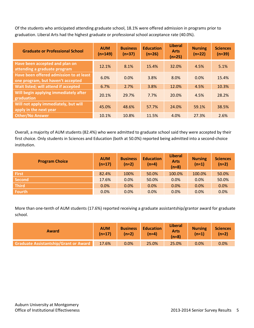Of the students who anticipated attending graduate school, 18.1% were offered admission in programs prior to graduation. Liberal Arts had the highest graduate or professional school acceptance rate (40.0%).

| <b>Graduate or Professional School</b>                                       | <b>AUM</b><br>$(n=149)$ | <b>Business</b><br>$(n=37)$ | <b>Education</b><br>$(n=26)$ | <b>Liberal</b><br><b>Arts</b><br>$(n=25)$ | <b>Nursing</b><br>$(n=22)$ | <b>Sciences</b><br>$(n=39)$ |
|------------------------------------------------------------------------------|-------------------------|-----------------------------|------------------------------|-------------------------------------------|----------------------------|-----------------------------|
| Have been accepted and plan on<br>attending a graduate program               | 12.1%                   | 8.1%                        | 15.4%                        | 32.0%                                     | 4.5%                       | 5.1%                        |
| Have been offered admission to at least<br>one program, but haven't accepted | 6.0%                    | 0.0%                        | 3.8%                         | 8.0%                                      | 0.0%                       | 15.4%                       |
| <b>Wait listed; will attend if accepted</b>                                  | 6.7%                    | 2.7%                        | 3.8%                         | 12.0%                                     | 4.5%                       | 10.3%                       |
| Will begin applying immediately after<br>graduation                          | 20.1%                   | 29.7%                       | 7.7%                         | 20.0%                                     | 4.5%                       | 28.2%                       |
| Will not apply immediately, but will<br>apply in the next year               | 45.0%                   | 48.6%                       | 57.7%                        | 24.0%                                     | 59.1%                      | 38.5%                       |
| <b>Other/No Answer</b>                                                       | 10.1%                   | 10.8%                       | 11.5%                        | 4.0%                                      | 27.3%                      | 2.6%                        |

Overall, a majority of AUM students (82.4%) who were admitted to graduate school said they were accepted by their first choice. Only students in Sciences and Education (both at 50.0%) reported being admitted into a second-choice institution.

| <b>Program Choice</b> | <b>AUM</b><br>$(n=17)$ | <b>Business</b><br>$(n=2)$ | <b>Education</b><br>$(n=4)$ | <b>Liberal</b><br><b>Arts</b><br>$(n=8)$ | <b>Nursing</b><br>$(n=1)$ | <b>Sciences</b><br>$(n=2)$ |
|-----------------------|------------------------|----------------------------|-----------------------------|------------------------------------------|---------------------------|----------------------------|
| First                 | 82.4%                  | 100%                       | 50.0%                       | 100.0%                                   | 100.0%                    | 50.0%                      |
| Second                | 17.6%                  | 0.0%                       | 50.0%                       | 0.0%                                     | $0.0\%$                   | 50.0%                      |
| <b>Third</b>          | 0.0%                   | 0.0%                       | 0.0%                        | 0.0%                                     | 0.0%                      | 0.0%                       |
| <b>Fourth</b>         | 0.0%                   | 0.0%                       | 0.0%                        | 0.0%                                     | 0.0%                      | 0.0%                       |

More than one-tenth of AUM students (17.6%) reported receiving a graduate assistantship/grantor award for graduate school.

| <b>Award</b>                          | <b>AUM</b><br>$(n=17)$ | <b>Business</b><br>$(n=2)$ | <b>Education</b><br>$(n=4)$ | <b>Liberal</b><br><b>Arts</b><br>$(n=8)$ | <b>Nursing</b><br>$(n=1)$ | <b>Sciences</b><br>$(n=2)$ |
|---------------------------------------|------------------------|----------------------------|-----------------------------|------------------------------------------|---------------------------|----------------------------|
| Graduate Assistantship/Grant or Award | 17.6%                  | 0.0%                       | 25.0%                       | 25.0%                                    | 0.0%                      | 0.0%                       |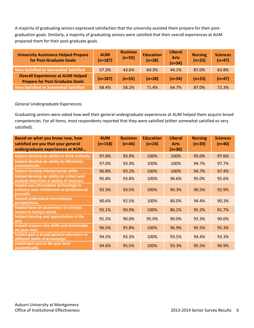A majority of graduating seniors expressed satisfaction that the university assisted them prepare for their postgraduation goals. Similarly, a majority of graduating seniors were satisfied that their overall experiences at AUM prepared them for their post-graduate goals.

| <b>University Assistance Helped Prepare</b><br>for Post-Graduate Goals             | <b>AUM</b><br>$(n=187)$ | <b>Business</b><br>$(n=55)$ | <b>Education</b><br>$(n=28)$ | <b>Liberal</b><br><b>Arts</b><br>$(n=34)$ | <b>Nursing</b><br>$(n=23)$ | <b>Sciences</b><br>$(n=47)$ |
|------------------------------------------------------------------------------------|-------------------------|-----------------------------|------------------------------|-------------------------------------------|----------------------------|-----------------------------|
| Very Satisfied or Somewhat Satisfied                                               | 57.2%                   | 43.6%                       | 64.3%                        | 44.1%                                     | 87.0%                      | 63.8%                       |
| <b>Overall Experiences at AUM Helped</b><br><b>Prepare for Post-Graduate Goals</b> | $(n=187)$               | $(n=55)$                    | $(n=28)$                     | $(n=34)$                                  | $(n=23)$                   | $(n=47)$                    |
| Very Satisfied or Somewhat Satisfied                                               | 68.4%                   | 58.2%                       | 71.4%                        | 64.7%                                     | 87.0%                      | 72.3%                       |

#### *General Undergraduate Experiences*

Graduating seniors were asked how well their general undergraduate experiences at AUM helped them acquire broad competencies. For all items, most respondents reported that they were satisfied (either somewhat satisfied or very satisfied).

| Based on what you know now, how<br>satisfied are you that your general<br>undergraduate experiences at AUM | <b>AUM</b><br>$(n \approx 158)$ | <b>Business</b><br>$(n \approx 44)$ | <b>Education</b><br>$(n \approx 24)$ | <b>Liberal</b><br><b>Arts</b><br>$(n=30)$ | <b>Nursing</b><br>$(n \approx 20)$ | <b>Sciences</b><br>$(n \approx 40)$ |
|------------------------------------------------------------------------------------------------------------|---------------------------------|-------------------------------------|--------------------------------------|-------------------------------------------|------------------------------------|-------------------------------------|
| helped develop an ability to think critically                                                              | 97.0%                           | 93.9%                               | 100%                                 | 100%                                      | 95.0%                              | 97.6%                               |
| helped develop an ability to effectively<br>communicate.                                                   | 97.0%                           | 93.3%                               | 100%                                 | 100%                                      | 94.7%                              | 97.7%                               |
| helped develop interpersonal skills.                                                                       | 96.8%                           | 93.2%                               | 100%                                 | 100%                                      | 94.7%                              | 97.4%                               |
| helped develop an ability to collect and<br>analyze data from a variety of sources.                        | 95.8%                           | 93.8%                               | 100%                                 | 96.6%                                     | 95.0%                              | 95.6%                               |
| helped use information technology to<br>enhance your intellectual or professional<br>pursuits.             | 93.3%                           | 93.5%                               | 100%                                 | 90.3%                                     | 90.5%                              | 92.9%                               |
| helped understand international<br>perspectives.                                                           | 90.6%                           | 92.5%                               | 100%                                 | 80.0%                                     | 94.4%                              | 90.3%                               |
| helped have an awareness of societal<br>issues in today's world.                                           | 92.1%                           | 90.9%                               | 100%                                 | 86.2%                                     | 95.2%                              | 91.7%                               |
| helped develop and appreciation of the<br>arts.                                                            | 91.2%                           | 90.0%                               | 95.0%                                | 90.0%                                     | 93.3%                              | 90.0%                               |
| helped acquire new skills and knowledge<br>on your own.                                                    | 96.5%                           | 95.8%                               | 100%                                 | 96.9%                                     | 95.5%                              | 95.3%                               |
| helped gain a broad general education in<br>different fields of knowledge.                                 | 94.5%                           | 93.3%                               | 100%                                 | 93.5%                                     | 94.4%                              | 93.3%                               |
| challenged you to do your best<br>academically.                                                            | 94.6%                           | 95.5%                               | 100%                                 | 93.3%                                     | 95.5%                              | 90.9%                               |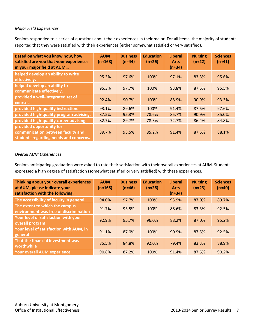#### *Major Field Experiences*

Seniors responded to a series of questions about their experiences in their major. For all items, the majority of students reported that they were satisfied with their experiences (either somewhat satisfied or very satisfied).

| Based on what you know now, how<br>satisfied are you that your experiences<br>in your major field at AUM | <b>AUM</b><br>(n≈168) | <b>Business</b><br>$(n \approx 44)$ | <b>Education</b><br>$(n \approx 26)$ | <b>Liberal</b><br><b>Arts</b><br>$(n \approx 34)$ | <b>Nursing</b><br>$(n \approx 22)$ | <b>Sciences</b><br>$(n \approx 41)$ |
|----------------------------------------------------------------------------------------------------------|-----------------------|-------------------------------------|--------------------------------------|---------------------------------------------------|------------------------------------|-------------------------------------|
| helped develop an ability to write<br>effectively.                                                       | 95.3%                 | 97.6%                               | 100%                                 | 97.1%                                             | 83.3%                              | 95.6%                               |
| helped develop an ability to<br>communicate effectively.                                                 | 95.3%                 | 97.7%                               | 100%                                 | 93.8%                                             | 87.5%                              | 95.5%                               |
| provided a well-integrated set of<br>courses.                                                            | 92.4%                 | 90.7%                               | 100%                                 | 88.9%                                             | 90.9%                              | 93.3%                               |
| provided high-quality instruction.                                                                       | 93.1%                 | 89.6%                               | 100%                                 | 91.4%                                             | 87.5%                              | 97.6%                               |
| provided high-quality program advising.                                                                  | 87.5%                 | 95.3%                               | 78.6%                                | 85.7%                                             | 90.9%                              | 85.0%                               |
| provided high-quality career advising.                                                                   | 82.7%                 | 89.7%                               | 78.3%                                | 72.7%                                             | 86.4%                              | 84.8%                               |
| provided opportunity for<br>communication between faculty and<br>students regarding needs and concerns.  | 89.7%                 | 93.5%                               | 85.2%                                | 91.4%                                             | 87.5%                              | 88.1%                               |

#### *Overall AUM Experiences*

Seniors anticipating graduation were asked to rate their satisfaction with their overall experiences at AUM. Students expressed a high degree of satisfaction (somewhat satisfied or very satisfied) with these experiences.

| Thinking about your overall experiences<br>at AUM, please indicate your<br>satisfaction with the following: | <b>AUM</b><br>$(n \approx 168)$ | <b>Business</b><br>$(n \approx 46)$ | <b>Education</b><br>$(n \approx 26)$ | <b>Liberal</b><br><b>Arts</b><br>$(n=34)$ | <b>Nursing</b><br>$(n \approx 23)$ | <b>Sciences</b><br>$(n \approx 40)$ |
|-------------------------------------------------------------------------------------------------------------|---------------------------------|-------------------------------------|--------------------------------------|-------------------------------------------|------------------------------------|-------------------------------------|
| The accessibility of faculty in general                                                                     | 94.0%                           | 97.7%                               | 100%                                 | 93.9%                                     | 87.0%                              | 89.7%                               |
| The extent to which the campus<br>environment was free of discrimination                                    | 91.7%                           | 93.5%                               | 100%                                 | 88.6%                                     | 83.3%                              | 92.5%                               |
| Your level of satisfaction with your<br>overall program                                                     | 92.9%                           | 95.7%                               | 96.0%                                | 88.2%                                     | 87.0%                              | 95.2%                               |
| Your level of satisfaction with AUM, in<br>general                                                          | 91.1%                           | 87.0%                               | 100%                                 | 90.9%                                     | 87.5%                              | 92.5%                               |
| That the financial investment was<br>worthwhile                                                             | 85.5%                           | 84.8%                               | 92.0%                                | 79.4%                                     | 83.3%                              | 88.9%                               |
| <b>Your overall AUM experience</b>                                                                          | 90.8%                           | 87.2%                               | 100%                                 | 91.4%                                     | 87.5%                              | 90.2%                               |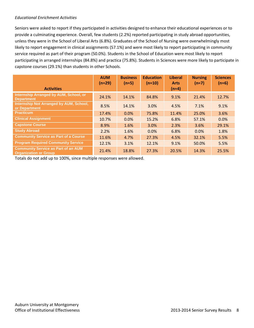#### *Educational Enrichment Activities*

Seniors were asked to report if they participated in activities designed to enhance their educational experiences or to provide a culminating experience. Overall, few students (2.2%) reported participating in study abroad opportunities, unless they were in the School of Liberal Arts (6.8%). Graduates of the School of Nursing were overwhelmingly most likely to report engagement in clinical assignments (57.1%) and were most likely to report participating in community service required as part of their program (50.0%). Students in the School of Education were most likely to report participating in arranged internships (84.8%) and practica (75.8%). Students in Sciences were more likely to participate in capstone courses (29.1%) than students in other Schools.

|                                                                            | <b>AUM</b><br>$(n \approx 29)$ | <b>Business</b><br>$(n \approx 5)$ | <b>Education</b><br>$(n \approx 10)$ | <b>Liberal</b><br><b>Arts</b> | <b>Nursing</b><br>$(n=7)$ | <b>Sciences</b><br>$(n \approx 6)$ |
|----------------------------------------------------------------------------|--------------------------------|------------------------------------|--------------------------------------|-------------------------------|---------------------------|------------------------------------|
| <b>Activities</b>                                                          |                                |                                    |                                      | $(n=4)$                       |                           |                                    |
| Internship Arranged by AUM, School, or<br><b>Department</b>                | 24.1%                          | 14.1%                              | 84.8%                                | 9.1%                          | 21.4%                     | 12.7%                              |
| Internship Not Arranged by AUM, School,<br>or Department                   | 8.5%                           | 14.1%                              | 3.0%                                 | 4.5%                          | 7.1%                      | 9.1%                               |
| <b>Practicum</b>                                                           | 17.4%                          | 0.0%                               | 75.8%                                | 11.4%                         | 25.0%                     | 3.6%                               |
| <b>Clinical Assignment</b>                                                 | 10.7%                          | 0.0%                               | 15.2%                                | 6.8%                          | 57.1%                     | 0.0%                               |
| <b>Capstone Course</b>                                                     | 8.9%                           | 1.6%                               | 3.0%                                 | 2.3%                          | 3.6%                      | 29.1%                              |
| <b>Study Abroad</b>                                                        | 2.2%                           | 1.6%                               | 0.0%                                 | 6.8%                          | 0.0%                      | 1.8%                               |
| <b>Community Service as Part of a Course</b>                               | 11.6%                          | 4.7%                               | 27.3%                                | 4.5%                          | 32.1%                     | 5.5%                               |
| <b>Program Required Community Service</b>                                  | 12.1%                          | 3.1%                               | 12.1%                                | 9.1%                          | 50.0%                     | 5.5%                               |
| <b>Community Service as Part of an AUM</b><br><b>Organization or Group</b> | 21.4%                          | 18.8%                              | 27.3%                                | 20.5%                         | 14.3%                     | 25.5%                              |

Totals do not add up to 100%, since multiple responses were allowed.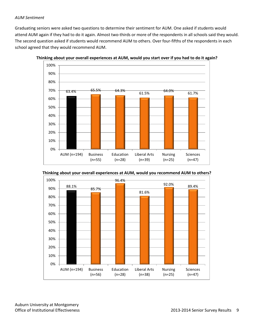#### *AUM Sentiment*

Graduating seniors were asked two questions to determine their sentiment for AUM. One asked if students would attend AUM again if they had to do it again. Almost two-thirds or more of the respondents in all schools said they would. The second question asked if students would recommend AUM to others. Over four-fifths of the respondents in each school agreed that they would recommend AUM.









Auburn University at Montgomery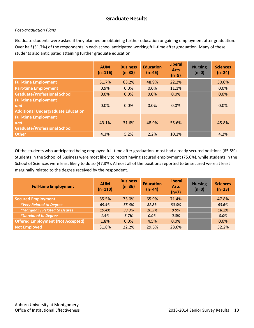## **Graduate Results**

#### *Post-graduation Plans*

Graduate students were asked if they planned on obtaining further education or gaining employment after graduation. Over half (51.7%) of the respondents in each school anticipated working full-time after graduation. Many of these students also anticipated attaining further graduate education.

|                                                                                 | <b>AUM</b><br>$(n=116)$ | <b>Business</b><br>$(n=38)$ | <b>Education</b><br>$(n=45)$ | <b>Liberal</b><br><b>Arts</b><br>$(n=9)$ | <b>Nursing</b><br>$(n=0)$ | <b>Sciences</b><br>$(n=24)$ |
|---------------------------------------------------------------------------------|-------------------------|-----------------------------|------------------------------|------------------------------------------|---------------------------|-----------------------------|
| <b>Full-time Employment</b>                                                     | 51.7%                   | 63.2%                       | 48.9%                        | 22.2%                                    |                           | 50.0%                       |
| <b>Part-time Employment</b>                                                     | 0.9%                    | 0.0%                        | 0.0%                         | 11.1%                                    |                           | 0.0%                        |
| <b>Graduate/Professional School</b>                                             | 0.0%                    | 0.0%                        | 0.0%                         | 0.0%                                     |                           | 0.0%                        |
| <b>Full-time Employment</b><br>and<br><b>Additional Undergraduate Education</b> | 0.0%                    | 0.0%                        | 0.0%                         | 0.0%                                     |                           | 0.0%                        |
| <b>Full-time Employment</b><br>and<br><b>Graduate/Professional School</b>       | 43.1%                   | 31.6%                       | 48.9%                        | 55.6%                                    |                           | 45.8%                       |
| <b>Other</b>                                                                    | 4.3%                    | 5.2%                        | 2.2%                         | 10.1%                                    |                           | 4.2%                        |

Of the students who anticipated being employed full-time after graduation, most had already secured positions (65.5%). Students in the School of Business were most likely to report having secured employment (75.0%), while students in the School of Sciences were least likely to do so (47.8%). Almost all of the positions reported to be secured were at least marginally related to the degree received by the respondent.

| <b>Full-time Employment</b>              | <b>AUM</b><br>$(n=110)$ | <b>Business</b><br>$(n=36)$ | <b>Education</b><br>$(n=44)$ | <b>Liberal</b><br><b>Arts</b><br>$(n=7)$ | <b>Nursing</b><br>$(n=0)$ | <b>Sciences</b><br>$(n=23)$ |
|------------------------------------------|-------------------------|-----------------------------|------------------------------|------------------------------------------|---------------------------|-----------------------------|
| <b>Secured Employment</b>                | 65.5%                   | 75.0%                       | 65.9%                        | 71.4%                                    |                           | 47.8%                       |
| *Very Related to Degree                  | 69.4%                   | 55.6%                       | 82.8%                        | 80.0%                                    |                           | 63.6%                       |
| *Marginally Related to Degree            | 19.4%                   | 33.3%                       | 10.3%                        | 0.0%                                     |                           | 18.2%                       |
| <i>*Unrelated to Degree</i>              | 1.4%                    | 3.7%                        | 0.0%                         | 0.0%                                     |                           | 0.0%                        |
| <b>Offered Employment (Not Accepted)</b> | 1.8%                    | 0.0%                        | 4.5%                         | 0.0%                                     |                           | 0.0%                        |
| <b>Not Employed</b>                      | 31.8%                   | 22.2%                       | 29.5%                        | 28.6%                                    |                           | 52.2%                       |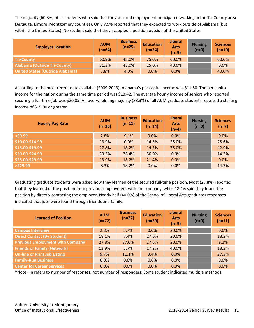The majority (60.3%) of all students who said that they secured employment anticipated working in the Tri-County area (Autauga, Elmore, Montgomery counties). Only 7.9% reported that they expected to work outside of Alabama (but within the United States). No student said that they accepted a position outside of the United States.

| <b>Employer Location</b>            | <b>AUM</b><br>$(n=64)$ | <b>Business</b><br>$(n=25)$ | <b>Education</b><br>$(n=24)$ | <b>Liberal</b><br><b>Arts</b><br>$(n=5)$ | <b>Nursing</b><br>$(n=0)$ | <b>Sciences</b><br>$(n=10)$ |
|-------------------------------------|------------------------|-----------------------------|------------------------------|------------------------------------------|---------------------------|-----------------------------|
| <b>Tri-County</b>                   | 60.9%                  | 48.0%                       | 75.0%                        | 60.0%                                    |                           | 60.0%                       |
| <b>Alabama (Outside Tri-County)</b> | 31.3%                  | 48.0%                       | 25.0%                        | 40.0%                                    |                           | 0.0%                        |
| United States (Outside Alabama)     | 7.8%                   | 4.0%                        | 0.0%                         | 0.0%                                     |                           | 40.0%                       |

According to the most recent data available (2009-2013), Alabama's per capita income was \$11.50. The per capita income for the nation during the same time period was \$13.42. The average hourly income of seniors who reported securing a full-time job was \$20.85. An overwhelming majority (83.3%) of all AUM graduate students reported a starting income of \$15.00 or greater.

| <b>Hourly Pay Rate</b> | <b>AUM</b><br>$(n=36)$ | <b>Business</b><br>$(n=11)$ | <b>Education</b><br>$(n=14)$ | <b>Liberal</b><br><b>Arts</b><br>$(n=4)$ | <b>Nursing</b><br>$(n=0)$ | <b>Sciences</b><br>$(n=7)$ |
|------------------------|------------------------|-----------------------------|------------------------------|------------------------------------------|---------------------------|----------------------------|
| $<$ \$9.99             | 2.8%                   | 9.1%                        | 0.0%                         | 0.0%                                     |                           | 0.0%                       |
| \$10.00-\$14.99        | 13.9%                  | 0.0%                        | 14.3%                        | 25.0%                                    |                           | 28.6%                      |
| \$15.00-\$19.99        | 27.8%                  | 18.2%                       | 14.3%                        | 75.0%                                    |                           | 42.9%                      |
| \$20.00-\$24.99        | 33.3%                  | 36.4%                       | 50.0%                        | 0.0%                                     |                           | 14.3%                      |
| \$25.00-\$29.99        | 13.9%                  | 18.2%                       | 21.4%                        | 0.0%                                     |                           | 0.0%                       |
| $>$ \$29.99            | 8.3%                   | 18.2%                       | 0.0%                         | 0.0%                                     |                           | 14.3%                      |

Graduating graduate students were asked how they learned of the secured full-time position. Most (27.8%) reported that they learned of the position from previous employment with the company, while 18.1% said they found the position by directly contacting the employer. Nearly half (40.0%) of the School of Liberal Arts graduates responses indicated that jobs were found through friends and family.

| <b>Learned of Position</b>              | <b>AUM</b><br>$(n=72)$ | <b>Business</b><br>$(n=27)$ | <b>Education</b><br>$(n=29)$ | <b>Liberal</b><br><b>Arts</b><br>$(n=5)$ | <b>Nursing</b><br>$(n=0)$ | <b>Sciences</b><br>$(n=11)$ |
|-----------------------------------------|------------------------|-----------------------------|------------------------------|------------------------------------------|---------------------------|-----------------------------|
| <b>Campus Interview</b>                 | 2.8%                   | 3.7%                        | $0.0\%$                      | 20.0%                                    |                           | 0.0%                        |
| <b>Direct Contact (By Student)</b>      | 18.1%                  | 7.4%                        | 27.6%                        | 20.0%                                    |                           | 18.2%                       |
| <b>Previous Employment with Company</b> | 27.8%                  | 37.0%                       | 27.6%                        | 20.0%                                    |                           | 9.1%                        |
| <b>Friends or Family (Network)</b>      | 13.9%                  | 3.7%                        | 17.2%                        | 40.0%                                    |                           | 18.2%                       |
| <b>On-line or Print Job Listing</b>     | 9.7%                   | 11.1%                       | 3.4%                         | 0.0%                                     |                           | 27.3%                       |
| <b>Family-Run Business</b>              | 0.0%                   | 0.0%                        | 0.0%                         | 0.0%                                     |                           | 0.0%                        |
| <b>Center for Career Services</b>       | 0.0%                   | 0.0%                        | 0.0%                         | 0.0%                                     |                           | 0.0%                        |

\*Note – n refers to number of responses, not number of responders. Some student indicated multiple methods.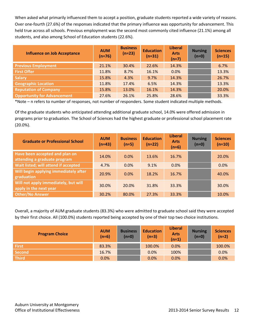When asked what primarily influenced them to accept a position, graduate students reported a wide variety of reasons. Over one-fourth (27.6%) of the responses indicated that the primary influence was opportunity for advancement. This held true across all schools. Previous employment was the second most commonly cited influence (21.1%) among all students, and also among School of Education students (22.6%).

| <b>Influence on Job Acceptance</b> | <b>AUM</b><br>$(n=76)$ | <b>Business</b><br>$(n=23)$ | <b>Education</b><br>$(n=31)$ | <b>Liberal</b><br><b>Arts</b><br>$(n=7)$ | <b>Nursing</b><br>$(n=0)$ | <b>Sciences</b><br>$(n=15)$ |
|------------------------------------|------------------------|-----------------------------|------------------------------|------------------------------------------|---------------------------|-----------------------------|
| <b>Previous Employment</b>         | 21.1%                  | 30.4%                       | 22.6%                        | 14.3%                                    |                           | 6.7%                        |
| <b>First Offer</b>                 | 11.8%                  | 8.7%                        | 16.1%                        | 0.0%                                     |                           | 13.3%                       |
| <b>Salary</b>                      | 15.8%                  | 4.3%                        | 9.7%                         | 14.3%                                    |                           | 26.7%                       |
| <b>Geographic Location</b>         | 11.8%                  | 17.4%                       | 6.5%                         | 14.3%                                    |                           | 13.3%                       |
| <b>Reputation of Company</b>       | 15.8%                  | 13.0%                       | 16.1%                        | 14.3%                                    |                           | 20.0%                       |
| <b>Opportunity for Advancement</b> | 27.6%                  | 26.1%                       | 25.8%                        | 28.6%                                    |                           | 33.3%                       |

\*Note – n refers to number of responses, not number of responders. Some student indicated multiple methods.

Of the graduate students who anticipated attending additional graduate school, 14.0% were offered admission in programs prior to graduation. The School of Sciences had the highest graduate or professional school placement rate (20.0%).

| <b>Graduate or Professional School</b>                         | <b>AUM</b><br>$(n=43)$ | <b>Business</b><br>$(n=5)$ | <b>Education</b><br>$(n=22)$ | <b>Liberal</b><br><b>Arts</b><br>$(n=6)$ | <b>Nursing</b><br>$(n=0)$ | <b>Sciences</b><br>$(n=10)$ |
|----------------------------------------------------------------|------------------------|----------------------------|------------------------------|------------------------------------------|---------------------------|-----------------------------|
| Have been accepted and plan on<br>attending a graduate program | 14.0%                  | 0.0%                       | 13.6%                        | 16.7%                                    |                           | 20.0%                       |
| Wait listed; will attend if accepted                           | 4.7%                   | $0.0\%$                    | 9.1%                         | 0.0%                                     |                           | 0.0%                        |
| Will begin applying immediately after<br>graduation            | 20.9%                  | 0.0%                       | 18.2%                        | 16.7%                                    |                           | 40.0%                       |
| Will not apply immediately, but will<br>apply in the next year | 30.0%                  | 20.0%                      | 31.8%                        | 33.3%                                    |                           | 30.0%                       |
| <b>Other/No Answer</b>                                         | 30.2%                  | 80.0%                      | 27.3%                        | 33.3%                                    |                           | 10.0%                       |

Overall, a majority of AUM graduate students (83.3%) who were admitted to graduate school said they were accepted by their first choice. All (100.0%) students reported being accepted by one of their top two choice institutions.

| <b>Program Choice</b> | <b>AUM</b><br>$(n=6)$ | <b>Business</b><br>$(n=0)$ | <b>Education</b><br>$(n=3)$ | <b>Liberal</b><br><b>Arts</b><br>$(n=1)$ | <b>Nursing</b><br>$(n=0)$ | <b>Sciences</b><br>$(n=2)$ |
|-----------------------|-----------------------|----------------------------|-----------------------------|------------------------------------------|---------------------------|----------------------------|
| <b>First</b>          | 83.3%                 |                            | 100.0%                      | 0.0%                                     |                           | 100.0%                     |
| Second                | 16.7%                 |                            | 0.0%                        | 100%                                     |                           | 0.0%                       |
| <b>Third</b>          | 0.0%                  |                            | 0.0%                        | 0.0%                                     |                           | 0.0%                       |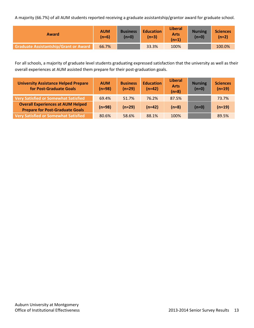A majority (66.7%) of all AUM students reported receiving a graduate assistantship/grantor award for graduate school.

| Award                                        | <b>AUM</b><br>$(n=6)$ | <b>Business</b><br>$(n=0)$ | <b>Education</b><br>(n=3) | <b>Liberal</b><br><b>Arts</b><br>(n=1) | <b>Nursing</b><br>$(n=0)$ | <b>Sciences</b><br>$(n=2)$ |
|----------------------------------------------|-----------------------|----------------------------|---------------------------|----------------------------------------|---------------------------|----------------------------|
| <b>Graduate Assistantship/Grant or Award</b> | 66.7%                 |                            | 33.3%                     | 100%                                   |                           | 100.0%                     |

For all schools, a majority of graduate level students graduating expressed satisfaction that the university as well as their overall experiences at AUM assisted them prepare for their post-graduation goals.

| <b>University Assistance Helped Prepare</b><br>for Post-Graduate Goals             | <b>AUM</b><br>$(n=98)$ | <b>Business</b><br>$(n=29)$ | <b>Education</b><br>$(n=42)$ | Liberal<br><b>Arts</b><br>$(n=8)$ | <b>Nursing</b><br>$(n=0)$ | <b>Sciences</b><br>$(n=19)$ |
|------------------------------------------------------------------------------------|------------------------|-----------------------------|------------------------------|-----------------------------------|---------------------------|-----------------------------|
| <b>Very Satisfied or Somewhat Satisfied</b>                                        | 69.4%                  | 51.7%                       | 76.2%                        | 87.5%                             |                           | 73.7%                       |
| <b>Overall Experiences at AUM Helped</b><br><b>Prepare for Post-Graduate Goals</b> | $(n=98)$               | $(n=29)$                    | $(n=42)$                     | $(n=8)$                           | $(n=0)$                   | $(n=19)$                    |
| <b>Very Satisfied or Somewhat Satisfied</b>                                        | 80.6%                  | 58.6%                       | 88.1%                        | 100%                              |                           | 89.5%                       |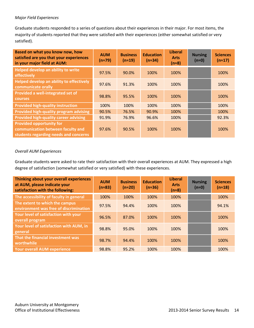#### *Major Field Experiences*

Graduate students responded to a series of questions about their experiences in their major. For most items, the majority of students reported that they were satisfied with their experiences (either somewhat satisfied or very satisfied).

| Based on what you know now, how<br>satisfied are you that your experiences<br>in your major field at AUM:     | <b>AUM</b><br>$(n \approx 79)$ | <b>Business</b><br>$(n \approx 19)$ | <b>Education</b><br>$(n \approx 34)$ | <b>Liberal</b><br><b>Arts</b><br>$(n=8)$ | <b>Nursing</b><br>$(n=0)$ | <b>Sciences</b><br>$(n \approx 17)$ |
|---------------------------------------------------------------------------------------------------------------|--------------------------------|-------------------------------------|--------------------------------------|------------------------------------------|---------------------------|-------------------------------------|
| Helped develop an ability to write<br>effectively                                                             | 97.5%                          | 90.0%                               | 100%                                 | 100%                                     |                           | 100%                                |
| Helped develop an ability to effectively<br>communicate orally                                                | 97.6%                          | 91.3%                               | 100%                                 | 100%                                     |                           | 100%                                |
| Provided a well-integrated set of<br><b>courses</b>                                                           | 98.8%                          | 95.5%                               | 100%                                 | 100%                                     |                           | 100%                                |
| <b>Provided high-quality instruction</b>                                                                      | 100%                           | 100%                                | 100%                                 | 100%                                     |                           | 100%                                |
| Provided high-quality program advising                                                                        | 90.5%                          | 76.5%                               | 90.9%                                | 100%                                     |                           | 100%                                |
| <b>Provided high-quality career advising</b>                                                                  | 91.9%                          | 76.9%                               | 96.6%                                | 100%                                     |                           | 92.3%                               |
| <b>Provided opportunity for</b><br>communication between faculty and<br>students regarding needs and concerns | 97.6%                          | 90.5%                               | 100%                                 | 100%                                     |                           | 100%                                |

#### *Overall AUM Experiences*

Graduate students were asked to rate their satisfaction with their overall experiences at AUM. They expressed a high degree of satisfaction (somewhat satisfied or very satisfied) with these experiences.

| Thinking about your overall experiences<br>at AUM, please indicate your<br>satisfaction with the following: | <b>AUM</b><br>$(n \approx 83)$ | <b>Business</b><br>$(n \approx 20)$ | <b>Education</b><br>$(n \approx 36)$ | <b>Liberal</b><br><b>Arts</b><br>$(n=8)$ | <b>Nursing</b><br>$(n \approx 0)$ | <b>Sciences</b><br>$(n \approx 18)$ |
|-------------------------------------------------------------------------------------------------------------|--------------------------------|-------------------------------------|--------------------------------------|------------------------------------------|-----------------------------------|-------------------------------------|
| The accessibility of faculty in general                                                                     | 100%                           | 100%                                | 100%                                 | 100%                                     |                                   | 100%                                |
| The extent to which the campus<br>environment was free of discrimination                                    | 97.5%                          | 94.4%                               | 100%                                 | 100%                                     |                                   | 94.1%                               |
| Your level of satisfaction with your<br>overall program                                                     | 96.5%                          | 87.0%                               | 100%                                 | 100%                                     |                                   | 100%                                |
| Your level of satisfaction with AUM, in<br>general                                                          | 98.8%                          | 95.0%                               | 100%                                 | 100%                                     |                                   | 100%                                |
| That the financial investment was<br>worthwhile                                                             | 98.7%                          | 94.4%                               | 100%                                 | 100%                                     |                                   | 100%                                |
| <b>Your overall AUM experience</b>                                                                          | 98.8%                          | 95.2%                               | 100%                                 | 100%                                     |                                   | 100%                                |